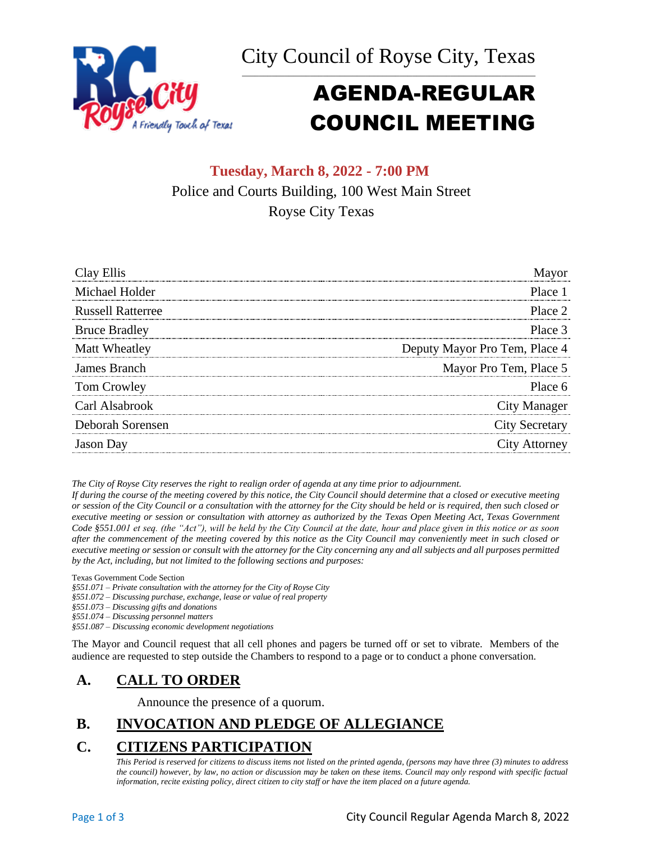



# AGENDA-REGULAR COUNCIL MEETING

# **Tuesday, March 8, 2022 - 7:00 PM** Police and Courts Building, 100 West Main Street Royse City Texas

| Clay Ellis               |                               |
|--------------------------|-------------------------------|
| Michael Holder           | Place 1                       |
| <b>Russell Ratterree</b> | Place 2                       |
| <b>Bruce Bradley</b>     | Place 3                       |
| Matt Wheatley            | Deputy Mayor Pro Tem, Place 4 |
| James Branch             | Mayor Pro Tem, Place 5        |
| Tom Crowley              | Place 6                       |
| Carl Alsabrook           | City Manager                  |
| Deborah Sorensen         | <b>City Secretary</b>         |
| <b>Jason</b> Day         | City Attorney                 |

*The City of Royse City reserves the right to realign order of agenda at any time prior to adjournment.*

*If during the course of the meeting covered by this notice, the City Council should determine that a closed or executive meeting or session of the City Council or a consultation with the attorney for the City should be held or is required, then such closed or executive meeting or session or consultation with attorney as authorized by the Texas Open Meeting Act, Texas Government Code §551.001 et seq. (the "Act"), will be held by the City Council at the date, hour and place given in this notice or as soon after the commencement of the meeting covered by this notice as the City Council may conveniently meet in such closed or executive meeting or session or consult with the attorney for the City concerning any and all subjects and all purposes permitted by the Act, including, but not limited to the following sections and purposes:*

Texas Government Code Section

*§551.071 – Private consultation with the attorney for the City of Royse City* 

*§551.072 – Discussing purchase, exchange, lease or value of real property* 

*§551.073 – Discussing gifts and donations*

*§551.074 – Discussing personnel matters*

*§551.087 – Discussing economic development negotiations*

The Mayor and Council request that all cell phones and pagers be turned off or set to vibrate. Members of the audience are requested to step outside the Chambers to respond to a page or to conduct a phone conversation.

# **A. CALL TO ORDER**

Announce the presence of a quorum.

# **B. INVOCATION AND PLEDGE OF ALLEGIANCE**

# **C. CITIZENS PARTICIPATION**

*This Period is reserved for citizens to discuss items not listed on the printed agenda, (persons may have three (3) minutes to address the council) however, by law, no action or discussion may be taken on these items. Council may only respond with specific factual information, recite existing policy, direct citizen to city staff or have the item placed on a future agenda.*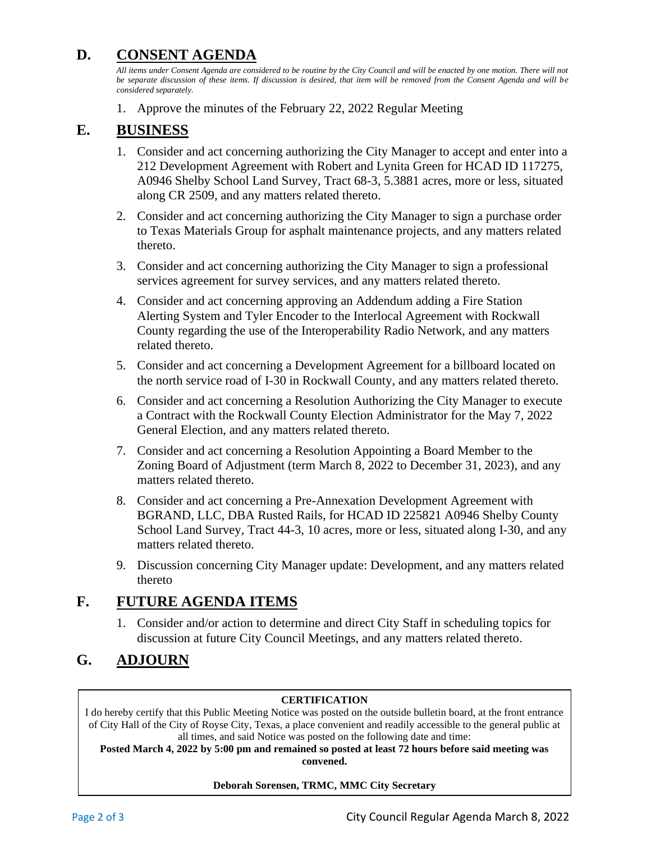## **D. CONSENT AGENDA**

*All items under Consent Agenda are considered to be routine by the City Council and will be enacted by one motion. There will not*  be separate discussion of these items. If discussion is desired, that item will be removed from the Consent Agenda and will be *considered separately.*

1. Approve the minutes of the February 22, 2022 Regular Meeting

### **E. BUSINESS**

- 1. Consider and act concerning authorizing the City Manager to accept and enter into a 212 Development Agreement with Robert and Lynita Green for HCAD ID 117275, A0946 Shelby School Land Survey, Tract 68-3, 5.3881 acres, more or less, situated along CR 2509, and any matters related thereto.
- 2. Consider and act concerning authorizing the City Manager to sign a purchase order to Texas Materials Group for asphalt maintenance projects, and any matters related thereto.
- 3. Consider and act concerning authorizing the City Manager to sign a professional services agreement for survey services, and any matters related thereto.
- 4. Consider and act concerning approving an Addendum adding a Fire Station Alerting System and Tyler Encoder to the Interlocal Agreement with Rockwall County regarding the use of the Interoperability Radio Network, and any matters related thereto.
- 5. Consider and act concerning a Development Agreement for a billboard located on the north service road of I-30 in Rockwall County, and any matters related thereto.
- 6. Consider and act concerning a Resolution Authorizing the City Manager to execute a Contract with the Rockwall County Election Administrator for the May 7, 2022 General Election, and any matters related thereto.
- 7. Consider and act concerning a Resolution Appointing a Board Member to the Zoning Board of Adjustment (term March 8, 2022 to December 31, 2023), and any matters related thereto.
- 8. Consider and act concerning a Pre-Annexation Development Agreement with BGRAND, LLC, DBA Rusted Rails, for HCAD ID 225821 A0946 Shelby County School Land Survey, Tract 44-3, 10 acres, more or less, situated along I-30, and any matters related thereto.
- 9. Discussion concerning City Manager update: Development, and any matters related thereto

## **F. FUTURE AGENDA ITEMS**

1. Consider and/or action to determine and direct City Staff in scheduling topics for discussion at future City Council Meetings, and any matters related thereto.

## **G. ADJOURN**

#### **CERTIFICATION**

I do hereby certify that this Public Meeting Notice was posted on the outside bulletin board, at the front entrance of City Hall of the City of Royse City, Texas, a place convenient and readily accessible to the general public at all times, and said Notice was posted on the following date and time:

**Posted March 4, 2022 by 5:00 pm and remained so posted at least 72 hours before said meeting was convened.**

#### **Deborah Sorensen, TRMC, MMC City Secretary**